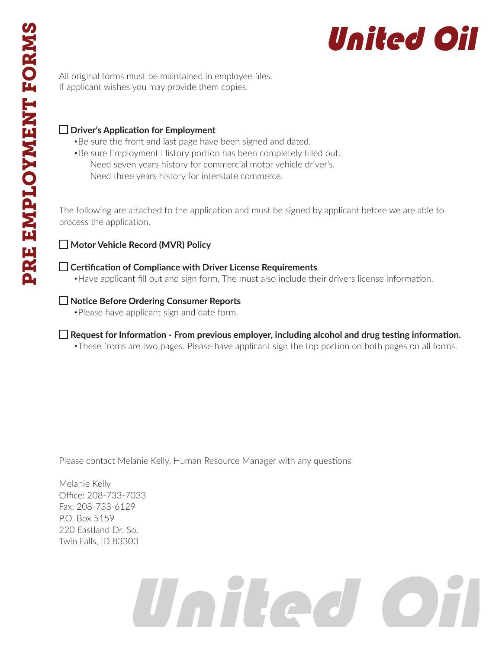

All original forms must be maintained in employee files. If applicant wishes you may provide them copies.

## **Driver's Application for Employment**

- •Be sure the front and last page have been signed and dated.
- •Be sure Employment History portion has been completely filled out. Need seven years history for commercial motor vehicle driver's. Need three years history for interstate commerce.

The following are attached to the application and must be signed by applicant before we are able to process the application.

# **Motor Vehicle Record (MVR) Policy**

**Certification of Compliance with Driver License Requirements** •Have applicant fill out and sign form. The must also include their drivers license information.

# **Notice Before Ordering Consumer Reports**

•Please have applicant sign and date form.

**Request for Information - From previous employer, including alcohol and drug testing information.** •These froms are two pages. Please have applicant sign the top portion on both pages on all forms.

Please contact Melanie Kelly, Human Resource Manager with any questions

Melanie Kelly Office: 208-733-7033 Fax: 208-733-6129 P.O. Box 5159 220 Eastland Dr. So. Twin Falls, ID 83303

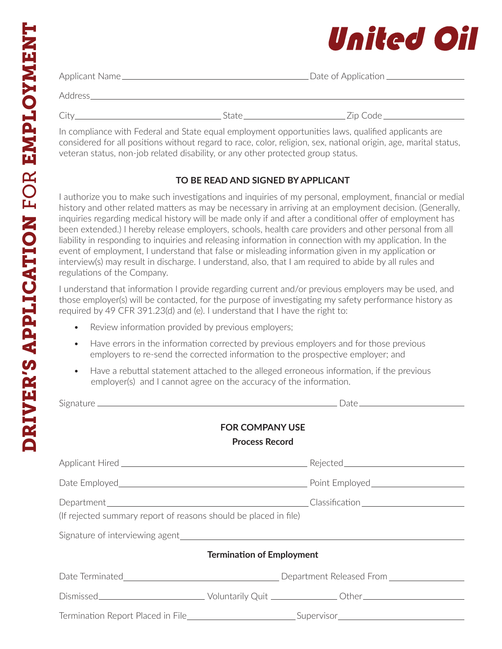# United Oil

| Applicant Name_ |       | _Date of Application _ |
|-----------------|-------|------------------------|
| Address_        |       |                        |
|                 | State | Zip Code               |

In compliance with Federal and State equal employment opportunities laws, qualified applicants are considered for all positions without regard to race, color, religion, sex, national origin, age, marital status, veteran status, non-job related disability, or any other protected group status.

# **TO BE READ AND SIGNED BY APPLICANT**

I authorize you to make such investigations and inquiries of my personal, employment, financial or medial history and other related matters as may be necessary in arriving at an employment decision. (Generally, inquiries regarding medical history will be made only if and after a conditional offer of employment has been extended.) I hereby release employers, schools, health care providers and other personal from all liability in responding to inquiries and releasing information in connection with my application. In the event of employment, I understand that false or misleading information given in my application or interview(s) may result in discharge. I understand, also, that I am required to abide by all rules and regulations of the Company.

I understand that information I provide regarding current and/or previous employers may be used, and those employer(s) will be contacted, for the purpose of investigating my safety performance history as required by 49 CFR 391.23(d) and (e). I understand that I have the right to:

- Review information provided by previous employers;
- Have errors in the information corrected by previous employers and for those previous employers to re-send the corrected information to the prospective employer; and
- Have a rebuttal statement attached to the alleged erroneous information, if the previous employer(s) and I cannot agree on the accuracy of the information.

| <b>FOR COMPANY USE</b><br><b>Process Record</b>                  |                                  |  |  |  |
|------------------------------------------------------------------|----------------------------------|--|--|--|
|                                                                  |                                  |  |  |  |
|                                                                  |                                  |  |  |  |
| (If rejected summary report of reasons should be placed in file) |                                  |  |  |  |
|                                                                  |                                  |  |  |  |
|                                                                  | <b>Termination of Employment</b> |  |  |  |
|                                                                  |                                  |  |  |  |
|                                                                  |                                  |  |  |  |
|                                                                  |                                  |  |  |  |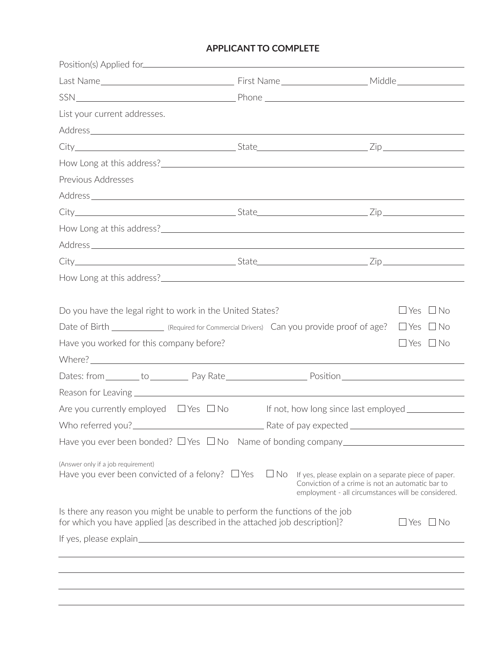## **APPLICANT TO COMPLETE**

| List your current addresses.                                                                                                                                                                                                   |           |                                                                                                                                                                |                      |
|--------------------------------------------------------------------------------------------------------------------------------------------------------------------------------------------------------------------------------|-----------|----------------------------------------------------------------------------------------------------------------------------------------------------------------|----------------------|
|                                                                                                                                                                                                                                |           |                                                                                                                                                                |                      |
|                                                                                                                                                                                                                                |           |                                                                                                                                                                |                      |
|                                                                                                                                                                                                                                |           |                                                                                                                                                                |                      |
| Previous Addresses                                                                                                                                                                                                             |           |                                                                                                                                                                |                      |
|                                                                                                                                                                                                                                |           |                                                                                                                                                                |                      |
|                                                                                                                                                                                                                                |           |                                                                                                                                                                |                      |
|                                                                                                                                                                                                                                |           |                                                                                                                                                                |                      |
| Address experience and the contract of the contract of the contract of the contract of the contract of the contract of the contract of the contract of the contract of the contract of the contract of the contract of the con |           |                                                                                                                                                                |                      |
|                                                                                                                                                                                                                                |           |                                                                                                                                                                |                      |
|                                                                                                                                                                                                                                |           |                                                                                                                                                                |                      |
| Have you worked for this company before?                                                                                                                                                                                       |           |                                                                                                                                                                | $\Box$ Yes $\Box$ No |
| Dates: from ________ to _____________ Pay Rate________________________Position________________________________                                                                                                                 |           |                                                                                                                                                                |                      |
|                                                                                                                                                                                                                                |           |                                                                                                                                                                |                      |
| Are you currently employed $\Box$ Yes $\Box$ No                                                                                                                                                                                |           | If not, how long since last employed ____________                                                                                                              |                      |
|                                                                                                                                                                                                                                |           |                                                                                                                                                                |                      |
| Have you ever been bonded? $\Box$ Yes $\Box$ No Name of bonding company _____________                                                                                                                                          |           |                                                                                                                                                                |                      |
| (Answer only if a job requirement)<br>Have you ever been convicted of a felony? $\Box$ Yes                                                                                                                                     | $\Box$ No | If yes, please explain on a separate piece of paper.<br>Conviction of a crime is not an automatic bar to<br>employment - all circumstances will be considered. |                      |
| Is there any reason you might be unable to perform the functions of the job<br>for which you have applied [as described in the attached job description]?                                                                      |           |                                                                                                                                                                | $\Box$ Yes $\Box$ No |
|                                                                                                                                                                                                                                |           |                                                                                                                                                                |                      |
|                                                                                                                                                                                                                                |           |                                                                                                                                                                |                      |
|                                                                                                                                                                                                                                |           |                                                                                                                                                                |                      |
|                                                                                                                                                                                                                                |           |                                                                                                                                                                |                      |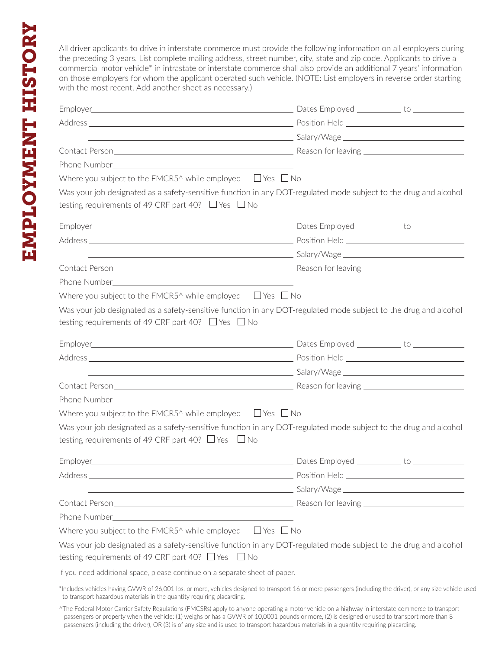All driver applicants to drive in interstate commerce must provide the following information on all employers during the preceding 3 years. List complete mailing address, street number, city, state and zip code. Applicants to drive a commercial motor vehicle\* in intrastate or interstate commerce shall also provide an additional 7 years' information on those employers for whom the applicant operated such vehicle. (NOTE: List employers in reverse order starting with the most recent. Add another sheet as necessary.)

|                                                                             | Employer to the contract of the contract of the contract of the contract of the contract of the contract of the contract of the contract of the contract of the contract of the contract of the contract of the contract of th       |
|-----------------------------------------------------------------------------|--------------------------------------------------------------------------------------------------------------------------------------------------------------------------------------------------------------------------------------|
|                                                                             |                                                                                                                                                                                                                                      |
|                                                                             |                                                                                                                                                                                                                                      |
|                                                                             |                                                                                                                                                                                                                                      |
|                                                                             |                                                                                                                                                                                                                                      |
| Where you subject to the FMCR5^ while employed $\Box$ Yes $\Box$ No         |                                                                                                                                                                                                                                      |
| testing requirements of 49 CRF part 40? $\Box$ Yes $\Box$ No                | Was your job designated as a safety-sensitive function in any DOT-regulated mode subject to the drug and alcohol                                                                                                                     |
|                                                                             | Employer to the control of the control of the control of the control of the control of the control of the control of the control of the control of the control of the control of the control of the control of the control of        |
|                                                                             |                                                                                                                                                                                                                                      |
|                                                                             | <u>and the set of the set of the set of the set of the set of the set of the set of the set of the set of the set of the set of the set of the set of the set of the set of the set of the set of the set of the set of the set </u> |
|                                                                             |                                                                                                                                                                                                                                      |
|                                                                             |                                                                                                                                                                                                                                      |
| Where you subject to the FMCR5^ while employed $\Box$ Yes $\Box$ No         |                                                                                                                                                                                                                                      |
|                                                                             | Was your job designated as a safety-sensitive function in any DOT-regulated mode subject to the drug and alcohol                                                                                                                     |
| testing requirements of 49 CRF part 40? $\Box$ Yes $\Box$ No                |                                                                                                                                                                                                                                      |
|                                                                             |                                                                                                                                                                                                                                      |
|                                                                             |                                                                                                                                                                                                                                      |
|                                                                             | <u>and the second control of the second control of the second control of the second control of the second control of the second control of the second control of the second control of the second control of the second control </u> |
|                                                                             |                                                                                                                                                                                                                                      |
|                                                                             |                                                                                                                                                                                                                                      |
| Where you subject to the FMCR5^ while employed $\Box$ Yes $\Box$ No         |                                                                                                                                                                                                                                      |
| testing requirements of 49 CRF part 40? $\Box$ Yes $\Box$ No                | Was your job designated as a safety-sensitive function in any DOT-regulated mode subject to the drug and alcohol                                                                                                                     |
|                                                                             | Employer to the control of the control of the control of the control of the control of the control of the control of the control of the control of the control of the control of the control of the control of the control of        |
|                                                                             |                                                                                                                                                                                                                                      |
|                                                                             |                                                                                                                                                                                                                                      |
|                                                                             |                                                                                                                                                                                                                                      |
|                                                                             |                                                                                                                                                                                                                                      |
| Where you subject to the FMCR5^ while employed $\Box$ Yes $\Box$ No         |                                                                                                                                                                                                                                      |
|                                                                             | Was your job designated as a safety-sensitive function in any DOT-regulated mode subject to the drug and alcohol                                                                                                                     |
| testing requirements of 49 CRF part 40? $\Box$ Yes $\Box$ No                |                                                                                                                                                                                                                                      |
| If you need additional space, please continue on a separate sheet of paper. |                                                                                                                                                                                                                                      |
| to transport hazardous materials in the quantity requiring placarding.      | *Includes vehicles having GVWR of 26,001 lbs. or more, vehicles designed to transport 16 or more passengers (including the driver), or any size vehicle used                                                                         |

<sup>^</sup>The Federal Motor Carrier Safety Regulations (FMCSRs) apply to anyone operating a motor vehicle on a highway in interstate commerce to transport passengers or property when the vehicle: (1) weighs or has a GVWR of 10,0001 pounds or more, (2) is designed or used to transport more than 8 passengers (including the driver), OR (3) is of any size and is used to transport hazardous materials in a quantity requiring placarding.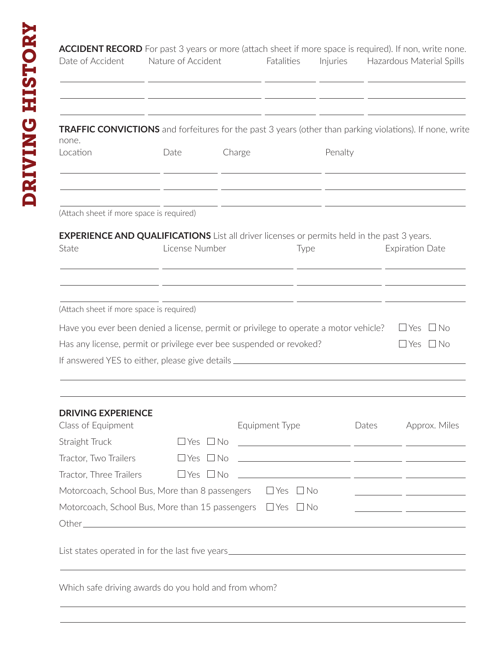|                                                                                                                                                                                                                                                                                             | Nature of Accident   |        | Fatalities           | Injuries |       | Hazardous Material Spills                                                                                                                                                               |
|---------------------------------------------------------------------------------------------------------------------------------------------------------------------------------------------------------------------------------------------------------------------------------------------|----------------------|--------|----------------------|----------|-------|-----------------------------------------------------------------------------------------------------------------------------------------------------------------------------------------|
|                                                                                                                                                                                                                                                                                             |                      |        |                      |          |       |                                                                                                                                                                                         |
| <b>TRAFFIC CONVICTIONS</b> and forfeitures for the past 3 years (other than parking violations). If none, write<br>none.<br>Location                                                                                                                                                        | Date                 | Charge |                      | Penalty  |       |                                                                                                                                                                                         |
| (Attach sheet if more space is required)                                                                                                                                                                                                                                                    |                      |        |                      |          |       |                                                                                                                                                                                         |
| <b>EXPERIENCE AND QUALIFICATIONS</b> List all driver licenses or permits held in the past 3 years.                                                                                                                                                                                          |                      |        |                      |          |       |                                                                                                                                                                                         |
| State                                                                                                                                                                                                                                                                                       | License Number       |        | Type                 |          |       | <b>Expiration Date</b>                                                                                                                                                                  |
|                                                                                                                                                                                                                                                                                             |                      |        |                      |          |       |                                                                                                                                                                                         |
|                                                                                                                                                                                                                                                                                             |                      |        |                      |          |       |                                                                                                                                                                                         |
|                                                                                                                                                                                                                                                                                             |                      |        |                      |          |       |                                                                                                                                                                                         |
|                                                                                                                                                                                                                                                                                             |                      |        |                      |          |       | $\Box$ Yes $\Box$ No                                                                                                                                                                    |
|                                                                                                                                                                                                                                                                                             |                      |        |                      |          |       | $\Box$ Yes $\Box$ No                                                                                                                                                                    |
| (Attach sheet if more space is required)<br>Have you ever been denied a license, permit or privilege to operate a motor vehicle?<br>Has any license, permit or privilege ever bee suspended or revoked?<br>If answered YES to either, please give details _________________________________ |                      |        |                      |          |       |                                                                                                                                                                                         |
| <b>DRIVING EXPERIENCE</b>                                                                                                                                                                                                                                                                   |                      |        |                      |          |       |                                                                                                                                                                                         |
|                                                                                                                                                                                                                                                                                             |                      |        | Equipment Type       |          | Dates |                                                                                                                                                                                         |
|                                                                                                                                                                                                                                                                                             | $\Box$ Yes $\Box$ No |        |                      |          |       |                                                                                                                                                                                         |
|                                                                                                                                                                                                                                                                                             | $\Box$ Yes $\Box$ No |        |                      |          |       |                                                                                                                                                                                         |
|                                                                                                                                                                                                                                                                                             | $\Box$ Yes $\Box$ No |        |                      |          |       | Approx. Miles<br><u> 2000 - Andrea Andrew Maria (h. 1975).</u><br><u> 1999 - Johann Harry Harry Harry Harry Harry Harry Harry Harry Harry Harry Harry Harry Harry Harry Harry Harry</u> |
|                                                                                                                                                                                                                                                                                             |                      |        | $\Box$ Yes $\Box$ No |          |       |                                                                                                                                                                                         |
| Class of Equipment<br>Straight Truck<br>Tractor, Two Trailers<br>Tractor, Three Trailers<br>Motorcoach, School Bus, More than 8 passengers<br>Motorcoach, School Bus, More than 15 passengers $\Box$ Yes $\Box$ No                                                                          |                      |        |                      |          |       | <u> 1989 - Johann John Stone, mars et al. (</u>                                                                                                                                         |
|                                                                                                                                                                                                                                                                                             |                      |        |                      |          |       |                                                                                                                                                                                         |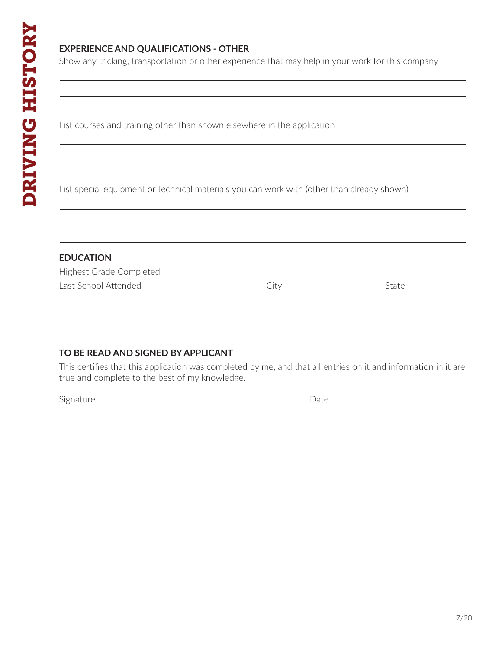## **EXPERIENCE AND QUALIFICATIONS - OTHER**

Show any tricking, transportation or other experience that may help in your work for this company

List courses and training other than shown elsewhere in the application

List special equipment or technical materials you can work with (other than already shown)

#### **EDUCATION**

| Highest Grade Completed_ |  |
|--------------------------|--|
| Last School Attended     |  |

#### **TO BE READ AND SIGNED BY APPLICANT**

This certifies that this application was completed by me, and that all entries on it and information in it are true and complete to the best of my knowledge.

Signature Date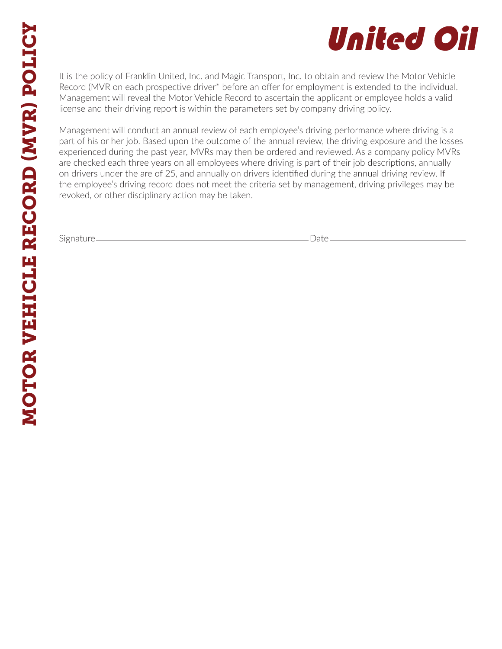# United Oil

It is the policy of Franklin United, Inc. and Magic Transport, Inc. to obtain and review the Motor Vehicle Record (MVR on each prospective driver\* before an offer for employment is extended to the individual. Management will reveal the Motor Vehicle Record to ascertain the applicant or employee holds a valid license and their driving report is within the parameters set by company driving policy.

Management will conduct an annual review of each employee's driving performance where driving is a part of his or her job. Based upon the outcome of the annual review, the driving exposure and the losses experienced during the past year, MVRs may then be ordered and reviewed. As a company policy MVRs are checked each three years on all employees where driving is part of their job descriptions, annually on drivers under the are of 25, and annually on drivers identified during the annual driving review. If the employee's driving record does not meet the criteria set by management, driving privileges may be revoked, or other disciplinary action may be taken.

Signature Date Date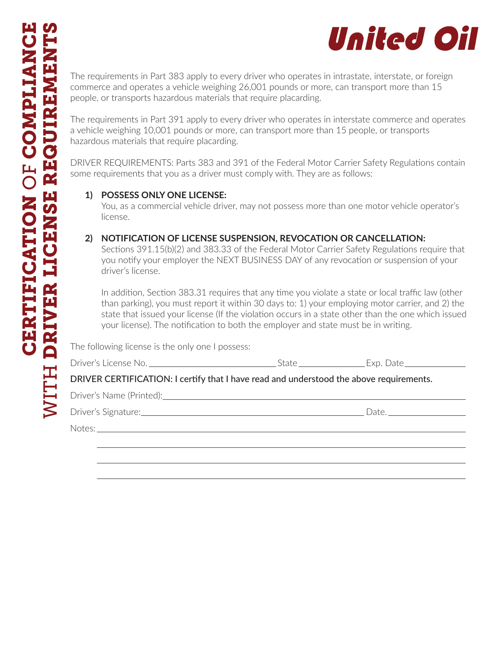

commerce and operates a vehicle weighing 26,001 pounds or more, can transport more than 15 people, or transports hazardous materials that require placarding.

The requirements in Part 391 apply to every driver who operates in interstate commerce and operates a vehicle weighing 10,001 pounds or more, can transport more than 15 people, or transports hazardous materials that require placarding.

DRIVER REQUIREMENTS: Parts 383 and 391 of the Federal Motor Carrier Safety Regulations contain some requirements that you as a driver must comply with. They are as follows:

#### **1) POSSESS ONLY ONE LICENSE:**

 You, as a commercial vehicle driver, may not possess more than one motor vehicle operator's license.

#### **2) NOTIFICATION OF LICENSE SUSPENSION, REVOCATION OR CANCELLATION:**

Sections 391.15(b)(2) and 383.33 of the Federal Motor Carrier Safety Regulations require that you notify your employer the NEXT BUSINESS DAY of any revocation or suspension of your driver's license.

WITH DRIVER REQUIREMENTS IS apply to every driver who constants in intrastate, interstate, or foreign commerce and operates a veikilo weighing a local of particle weighing 20.001 points or more can transport more than 15 m In addition, Section 383.31 requires that any time you violate a state or local traffic law (other than parking), you must report it within 30 days to: 1) your employing motor carrier, and 2) the state that issued your license (If the violation occurs in a state other than the one which issued your license). The notification to both the employer and state must be in writing.

The following license is the only one I possess:

| Driver's License No. | Нxп |
|----------------------|-----|
|                      |     |

## DRIVER CERTIFICATION: I certify that I have read and understood the above requirements.

Driver's Name (Printed): Driver's Name (Printed):

Driver's Signature: 2000 Contract Contract Contract Contract Contract Contract Contract Contract Contract Contract Contract Contract Contract Contract Contract Contract Contract Contract Contract Contract Contract Contract

Notes: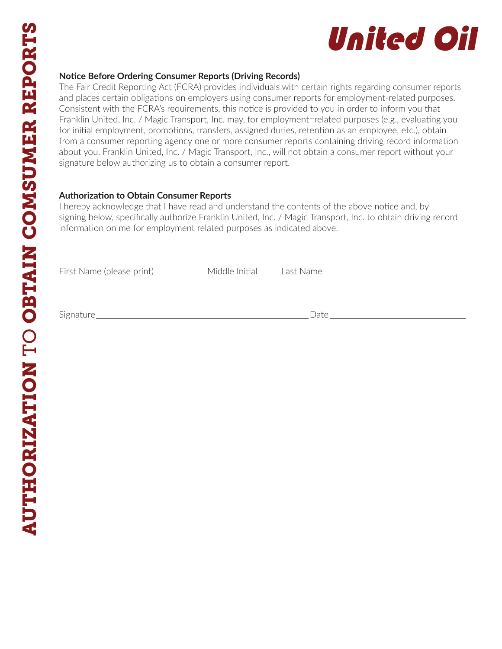

#### **Notice Before Ordering Consumer Reports (Driving Records)**

The Fair Credit Reporting Act (FCRA) provides individuals with certain rights regarding consumer reports and places certain obligations on employers using consumer reports for employment-related purposes. Consistent with the FCRA's requirements, this notice is provided to you in order to inform you that Franklin United, Inc. / Magic Transport, Inc. may, for employment=related purposes (e.g., evaluating you for initial employment, promotions, transfers, assigned duties, retention as an employee, etc.), obtain from a consumer reporting agency one or more consumer reports containing driving record information about you. Franklin United, Inc. / Magic Transport, Inc., will not obtain a consumer report without your signature below authorizing us to obtain a consumer report.

#### **Authorization to Obtain Consumer Reports**

I hereby acknowledge that I have read and understand the contents of the above notice and, by signing below, specifically authorize Franklin United, Inc. / Magic Transport, Inc. to obtain driving record information on me for employment related purposes as indicated above.

| First Name (please print) | Middle Initial | Last Name |
|---------------------------|----------------|-----------|
| Signature                 |                | Date      |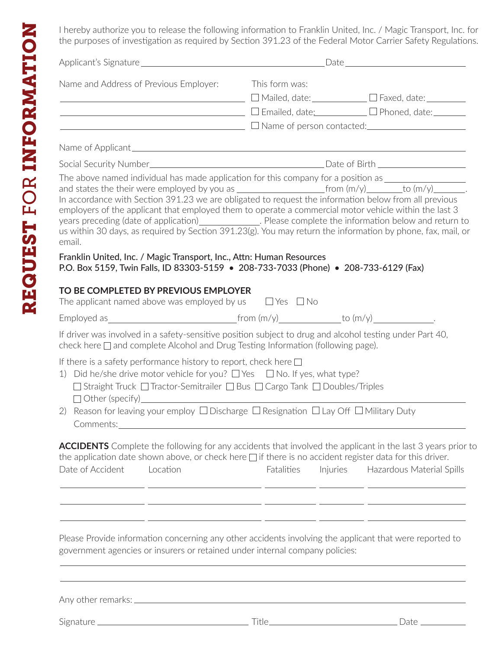I hereby authorize you to release the following information to Franklin United, Inc. / Magic Transport, Inc. for the purposes of investigation as required by Section 391.23 of the Federal Motor Carrier Safety Regulations.

| Name and Address of Previous Employer:                                                                                                                                                                                                                                                           |          | This form was:                                                                           | ────────────────────────────── <sup>───</sup> □ Mailed, date:_____________ □ Faxed, date:_________<br><u>Demailed, date: Demail Demailed (Benailed Community Demailed Autorian Demail Phoned, date: Demail Phoned, date:</u><br>$\Box$ Name of person contacted: $\Box$                                                                                                                                                                                                                                                                                                                                                                                      |
|--------------------------------------------------------------------------------------------------------------------------------------------------------------------------------------------------------------------------------------------------------------------------------------------------|----------|------------------------------------------------------------------------------------------|--------------------------------------------------------------------------------------------------------------------------------------------------------------------------------------------------------------------------------------------------------------------------------------------------------------------------------------------------------------------------------------------------------------------------------------------------------------------------------------------------------------------------------------------------------------------------------------------------------------------------------------------------------------|
|                                                                                                                                                                                                                                                                                                  |          |                                                                                          |                                                                                                                                                                                                                                                                                                                                                                                                                                                                                                                                                                                                                                                              |
|                                                                                                                                                                                                                                                                                                  |          |                                                                                          |                                                                                                                                                                                                                                                                                                                                                                                                                                                                                                                                                                                                                                                              |
| email.                                                                                                                                                                                                                                                                                           |          |                                                                                          | The above named individual has made application for this company for a position as __________________________<br>and states the their were employed by you as $\frac{1}{2}$ from $(m/y)$ to $(m/y)$ to $(m/y)$<br>In accordance with Section 391.23 we are obligated to request the information below from all previous<br>employers of the applicant that employed them to operate a commercial motor vehicle within the last 3<br>years preceding (date of application)_______________. Please complete the information below and return to<br>us within 30 days, as required by Section 391.23(g). You may return the information by phone, fax, mail, or |
|                                                                                                                                                                                                                                                                                                  |          | Franklin United, Inc. / Magic Transport, Inc., Attn: Human Resources                     | P.O. Box 5159, Twin Falls, ID 83303-5159 . 208-733-7033 (Phone) . 208-733-6129 (Fax)                                                                                                                                                                                                                                                                                                                                                                                                                                                                                                                                                                         |
| TO BE COMPLETED BY PREVIOUS EMPLOYER<br>The applicant named above was employed by us $\Box$ Yes $\Box$ No                                                                                                                                                                                        |          |                                                                                          |                                                                                                                                                                                                                                                                                                                                                                                                                                                                                                                                                                                                                                                              |
|                                                                                                                                                                                                                                                                                                  |          |                                                                                          | Employed as $\frac{1}{2}$ from $(m/y)$ to $(m/y)$ to $(m/y)$ to $(m/y)$ .                                                                                                                                                                                                                                                                                                                                                                                                                                                                                                                                                                                    |
|                                                                                                                                                                                                                                                                                                  |          | check here $\square$ and complete Alcohol and Drug Testing Information (following page). | If driver was involved in a safety-sensitive position subject to drug and alcohol testing under Part 40,                                                                                                                                                                                                                                                                                                                                                                                                                                                                                                                                                     |
|                                                                                                                                                                                                                                                                                                  |          |                                                                                          |                                                                                                                                                                                                                                                                                                                                                                                                                                                                                                                                                                                                                                                              |
| $\Box$ Other (specify) $\Box$<br>Comments:                                                                                                                                                                                                                                                       |          | □ Straight Truck □ Tractor-Semitrailer □ Bus □ Cargo Tank □ Doubles/Triples              |                                                                                                                                                                                                                                                                                                                                                                                                                                                                                                                                                                                                                                                              |
| If there is a safety performance history to report, check here $\square$<br>1) Did he/she drive motor vehicle for you? $\Box$ Yes $\Box$ No. If yes, what type?<br>2) Reason for leaving your employ $\Box$ Discharge $\Box$ Resignation $\Box$ Lay Off $\Box$ Military Duty<br>Date of Accident | Location | Fatalities                                                                               | <b>ACCIDENTS</b> Complete the following for any accidents that involved the applicant in the last 3 years prior to<br>the application date shown above, or check here $\Box$ if there is no accident register data for this driver.<br>Injuries<br>Hazardous Material Spills                                                                                                                                                                                                                                                                                                                                                                                 |

Signature Title Date